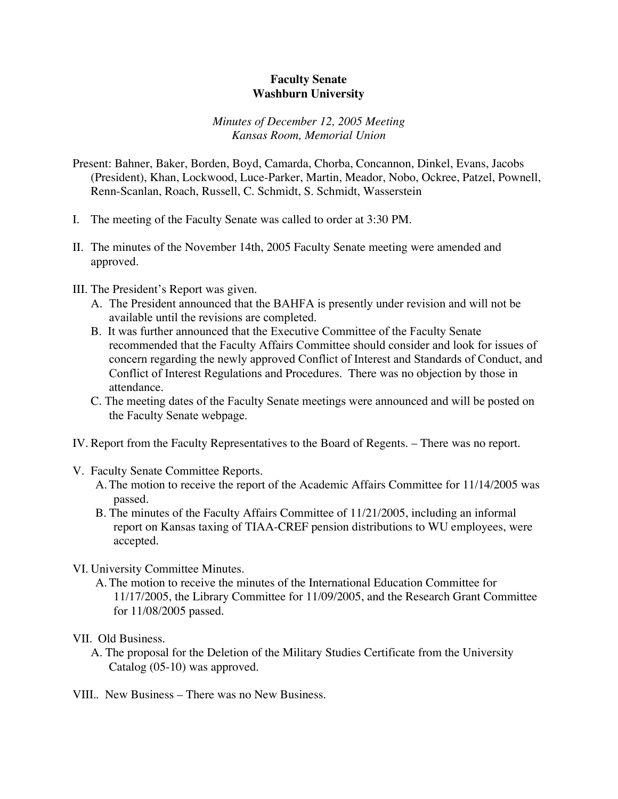## **Faculty Senate Washburn University**

## *Minutes of December 12, 2005 Meeting Kansas Room, Memorial Union*

- Present: Bahner, Baker, Borden, Boyd, Camarda, Chorba, Concannon, Dinkel, Evans, Jacobs (President), Khan, Lockwood, Luce-Parker, Martin, Meador, Nobo, Ockree, Patzel, Pownell, Renn-Scanlan, Roach, Russell, C. Schmidt, S. Schmidt, Wasserstein
- I. The meeting of the Faculty Senate was called to order at 3:30 PM.
- II. The minutes of the November 14th, 2005 Faculty Senate meeting were amended and approved.
- III. The President's Report was given.
	- A. The President announced that the BAHFA is presently under revision and will not be available until the revisions are completed.
	- B. It was further announced that the Executive Committee of the Faculty Senate recommended that the Faculty Affairs Committee should consider and look for issues of concern regarding the newly approved Conflict of Interest and Standards of Conduct, and Conflict of Interest Regulations and Procedures. There was no objection by those in attendance.
	- C. The meeting dates of the Faculty Senate meetings were announced and will be posted on the Faculty Senate webpage.
- IV. Report from the Faculty Representatives to the Board of Regents. There was no report.
- V. Faculty Senate Committee Reports.
	- A.The motion to receive the report of the Academic Affairs Committee for 11/14/2005 was passed.
	- B. The minutes of the Faculty Affairs Committee of 11/21/2005, including an informal report on Kansas taxing of TIAA-CREF pension distributions to WU employees, were accepted.
- VI. University Committee Minutes.
	- A.The motion to receive the minutes of the International Education Committee for 11/17/2005, the Library Committee for 11/09/2005, and the Research Grant Committee for 11/08/2005 passed.

## VII. Old Business.

- A. The proposal for the Deletion of the Military Studies Certificate from the University Catalog (05-10) was approved.
- VIII.. New Business There was no New Business.